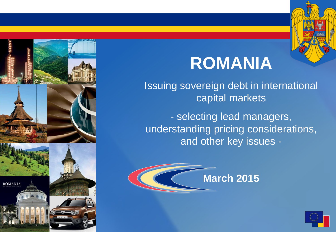

# **ROMANIA**

Issuing sovereign debt in international capital markets

- selecting lead managers, understanding pricing considerations, and other key issues -



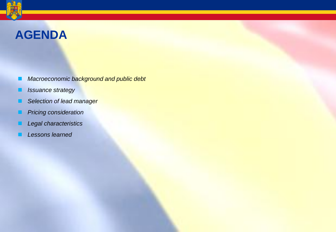## **AGENDA**

- *Macroeconomic background and public debt*
- *Issuance strategy*
- *Selection of lead manager*
- *Pricing consideration*
- *Legal characteristics*
- *Lessons learned*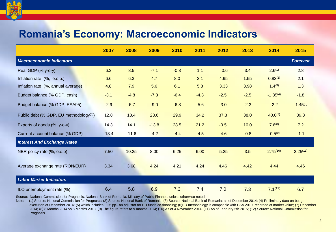

## **Romania's Economy: Macroeconomic Indicators**

|                                                     | 2007    | 2008    | 2009    | 2010   | 2011   | 2012   | 2013   | 2014               | 2015            |
|-----------------------------------------------------|---------|---------|---------|--------|--------|--------|--------|--------------------|-----------------|
| <b>Macroeconomic Indicators</b>                     |         |         |         |        |        |        |        |                    | <b>Forecast</b> |
| Real GDP (% y-o-y)                                  | 6.3     | 8.5     | $-7.1$  | $-0.8$ | 1.1    | 0.6    | 3.4    | 2.6 <sup>(1)</sup> | 2.8             |
| Inflation rate (%, e.o.p.)                          | 6.6     | 6.3     | 4.7     | 8.0    | 3.1    | 4.95   | 1.55   | $0.83^{(2)}$       | 2.1             |
| Inflation rate (%, annual average)                  | 4.8     | 7.9     | 5.6     | 6.1    | 5.8    | 3.33   | 3.98   | $1.4^{(3)}$        | 1.3             |
| Budget balance (% GDP, cash)                        | $-3.1$  | $-4.8$  | $-7.3$  | $-6.4$ | $-4.3$ | $-2.5$ | $-2.5$ | $-1.85^{(4)}$      | $-1.8$          |
| Budget balance (% GDP, ESA95)                       | $-2.9$  | $-5.7$  | $-9.0$  | $-6.8$ | $-5.6$ | $-3.0$ | $-2.3$ | $-2.2$             | $-1.45^{(5)}$   |
| Public debt (% GDP, EU methodology <sup>(6)</sup> ) | 12.8    | 13.4    | 23.6    | 29.9   | 34.2   | 37.3   | 38.0   | $40.0^{(7)}$       | 39.8            |
| Exports of goods (%, y-o-y)                         | 14.3    | 14.1    | $-13.8$ | 28.5   | 21.2   | $-0.5$ | 10.0   | $7.6^{(8)}$        | 7.2             |
| Current account balance (% GDP)                     | $-13.4$ | $-11.6$ | $-4.2$  | $-4.4$ | $-4.5$ | $-4.6$ | $-0.8$ | $-0.5(9)$          | $-1.1$          |
| <b>Interest And Exchange Rates</b>                  |         |         |         |        |        |        |        |                    |                 |
| NBR policy rate (%, e.o.p)                          | 7.50    | 10.25   | 8.00    | 6.25   | 6.00   | 5.25   | 3.5    | $2.75^{(10)}$      | $2.25^{(11)}$   |
| Average exchange rate (RON/EUR)                     | 3.34    | 3.68    | 4.24    | 4.21   | 4.24   | 4.46   | 4.42   | 4.44               | 4.46            |
| <b>Labor Market Indicators</b>                      |         |         |         |        |        |        |        |                    |                 |
| ILO unemployment rate (%)                           | 6.4     | 5.8     | 6.9     | 7.3    | 7.4    | 7.0    | 7.3    | $7.1^{(12)}$       | 6.7             |

Source: National Commission for Prognosis, National Bank of Romania, Ministry of Public Finance, unless otherwise noted

Note: (1) Source: National Commission for Prognosis; (2) Source: National Bank of Romania; (3) Source: National Bank of Romania: as of December 2014; (4) Preliminary data on budget execution at December 2014; (5) which includes 0.25 pp- an adjustor for EU funds co-financing; (6)EU methodology is compatible with ESA 2010, recorded at market value; (7) December 2014; (8) 8 Months 2014 vs 8 Months 2013; (9) The figure refers to 9 months 2014; (10) As of 4 November 2014; (11) As of February 5th 2015; (12) Source: National Commission for Prognosis.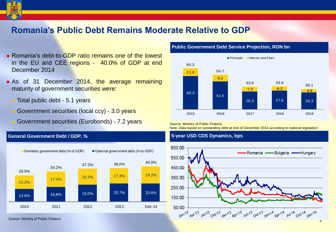

## **Romania's Public Debt Remains Moderate Relative to GDP**

- **Romania's debt-to-GDP ratio remains one of the lowest** in the EU and CEE regions - 40.0% of GDP at end December 2014
- As of 31 December 2014, the average remaining maturity of government securities were:
	- **T** Total public debt 5.1 years
	- Government securities (local ccy) 3.0 years
	- Government securities (Eurobonds) 7.2 years

#### **General Government Debt / GDP, %**



#### **Public Government Debt Service Projection, RON bn**



#### Source: Ministry of Public Finance

Note: Data based on outstanding debt at end of December 2014 according to national legislation

#### **5-year USD CDS Dynamics, bps**

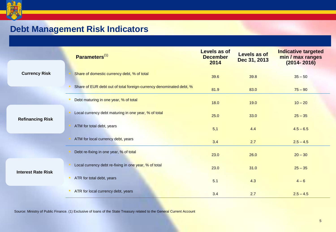

## **Debt Management Risk Indicators**

|                           | Parameters $^{(1)}$                                                 | <b>Levels as of</b><br><b>December</b><br>2014 | Levels as of<br>Dec 31, 2013 | <b>Indicative targeted</b><br>min / max ranges<br>$(2014 - 2016)$ |
|---------------------------|---------------------------------------------------------------------|------------------------------------------------|------------------------------|-------------------------------------------------------------------|
| <b>Currency Risk</b>      | Share of domestic currency debt, % of total                         | 39.6                                           | 39.8                         | $35 - 50$                                                         |
|                           | Share of EUR debt out of total foreign-currency denominated debt, % | 81.9                                           | 83.0                         | $75 - 90$                                                         |
|                           | Debt maturing in one year, % of total                               | 18.0                                           | 19.0                         | $10 - 20$                                                         |
| <b>Refinancing Risk</b>   | Local currency debt maturing in one year, % of total                | 25.0                                           | 33.0                         | $25 - 35$                                                         |
|                           | ATM for total debt, years                                           | 5,1                                            | 4.4                          | $4.5 - 6.5$                                                       |
|                           | ATM for local currency debt, years                                  | 3.4                                            | 2.7                          | $2.5 - 4.5$                                                       |
|                           | Debt re-fixing in one year, % of total                              | 23.0                                           | 26.0                         | $20 - 30$                                                         |
| <b>Interest Rate Risk</b> | Local currency debt re-fixing in one year, % of total               | 23.0                                           | 31.0                         | $25 - 35$                                                         |
|                           | ATR for total debt, years<br><b>COL</b>                             | 5.1                                            | 4.3                          | $4 - 6$                                                           |
|                           | ATR for local currency debt, years                                  | 3.4                                            | 2.7                          | $2.5 - 4.5$                                                       |

Source: Ministry of Public Finance. (1) Exclusive of loans of the State Treasury related to the General Current Account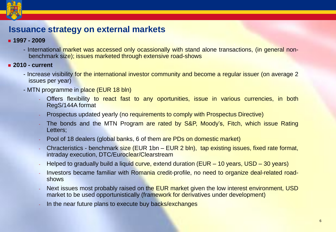

## **Issuance strategy on external markets**

#### **1997 - 2009**

- International market was accessed only ocassionally with stand alone transactions, (in general nonbenchmark size); issues marketed through extensive road-shows
- **2010 - current**
	- Increase visibility for the international investor community and become a regular issuer (on average 2 issues per year)
	- MTN programme in place (EUR 18 bln)
		- Offers flexibility to react fast to any oportunities, issue in various currencies, in both RegS/144A format
		- Prospectus updated yearly (no requirements to comply with Prospectus Directive)
		- The bonds and the MTN Program are rated by S&P, Moody's, Fitch, which issue Rating Letters;
		- Pool of 18 dealers (global banks, 6 of them are PDs on domestic market)
		- Chracteristics benchmark size (EUR 1bn EUR 2 bln), tap existing issues, fixed rate format, intraday execution, DTC/Euroclear/Clearstream
		- Helped to gradually build a liquid curve, extend duration (EUR 10 years, USD 30 years)
		- Investors became familiar with Romania credit-profile, no need to organize deal-related roadshows
		- Next issues most probably raised on the EUR market given the low interest environment, USD market to be used opportunistically (framework for derivatives under development)
		- In the near future plans to execute buy backs/exchanges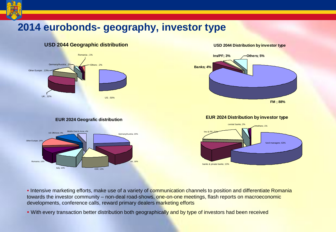## **2014 eurobonds- geography, investor type**



#### **EUR 2024 Geografic distribution**



# **Banks; 4% Ins/PF; 3%** / Others; 5%

**USD 2044 Distribution by investor type**



#### **EUR 2024 Distribution by investor type**



**Intensive marketing efforts, make use of a variety of communication channels to position and differentiate Romania** towards the investor community – non-deal road-shows, one-on-one meetings, flash reports on macroeconomic developments, conference calls, reward primary dealers marketing efforts

• With every transaction better distribution both geographically and by type of investors had been received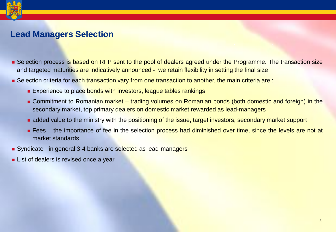## **Lead Managers Selection**

- Selection process is based on RFP sent to the pool of dealers agreed under the Programme. The transaction size and targeted maturities are indicatively announced - we retain flexibility in setting the final size
- Selection criteria for each transaction vary from one transaction to another, the main criteria are :
	- **Experience to place bonds with investors, league tables rankings**
	- Commitment to Romanian market trading volumes on Romanian bonds (both domestic and foreign) in the secondary market, top primary dealers on domestic market rewarded as lead-managers
	- added value to the ministry with the positioning of the issue, target investors, secondary market support
	- **Fees** the importance of fee in the selection process had diminished over time, since the levels are not at market standards
- Syndicate in general 3-4 banks are selected as lead-managers
- **List of dealers is revised once a year.**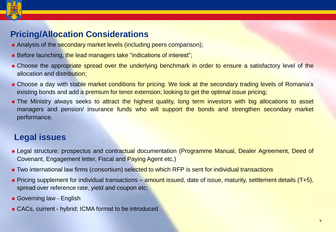

## **Pricing/Allocation Considerations**

- Analysis of the secondary market levels (including peers comparison);
- Before launching, the lead managers take "indications of interest";
- **Example 2** Choose the appropriate spread over the underlying benchmark in order to ensure a satisfactory level of the allocation and distribution;
- **Example 2** Choose a day with stable market conditions for pricing. We look at the secondary trading levels of Romania's existing bonds and add a premium for tenor extension; looking to get the optimal issue pricing;
- **The Ministry always seeks to attract the highest quality, long term investors with big allocations to asset** managers and pension/ insurance funds who will support the bonds and strengthen secondary market performance.

## **Legal issues**

- **Example 20** Legal structure: prospectus and contractual documentation (Programme Manual, Dealer Agreement, Deed of Covenant, Engagement letter, Fiscal and Paying Agent etc.)
- **T** Two international law firms (consortium) selected to which RFP is sent for individual transactions
- Pricing supplement for individual transactions amount issued, date of issue, maturity, settlement details (T+5), spread over reference rate, yield and coupon etc;
- Governing law English
- CACs, current hybrid; ICMA format to be introduced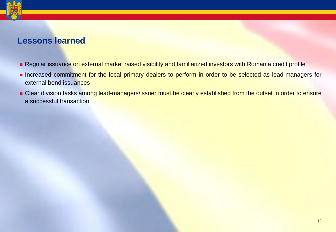

### **Lessons learned**

- Regular issuance on external market raised visibility and familiarized investors with Romania credit profile
- **Increased commitment for the local primary dealers to perform in order to be selected as lead-managers for** external bond issuances
- **Example 2** Clear division tasks among lead-managers/issuer must be clearly established from the outset in order to ensure a successful transaction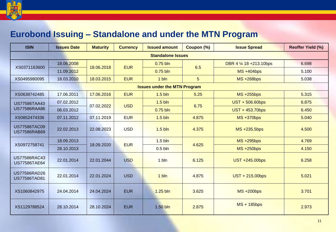

## **Eurobond Issuing – Standalone and under the MTN Program**

| <b>ISIN</b>                                | <b>Issues Date</b> | <b>Maturity</b> | <b>Currency</b>                | <b>Issued amount</b> | Coupon (%) | <b>Issue Spread</b>       | <b>Reoffer Yield (%)</b> |  |  |
|--------------------------------------------|--------------------|-----------------|--------------------------------|----------------------|------------|---------------------------|--------------------------|--|--|
| <b>Standalone Issues</b>                   |                    |                 |                                |                      |            |                           |                          |  |  |
| XS0371163600                               | 18.06.2008         | 18.06.2018      | <b>EUR</b>                     | $0.75$ bln           | 6.5        | DBR 4 1/4 18 + 213.10 bps | 6.698                    |  |  |
|                                            | 11.09.2012         |                 |                                | $0.75$ bln           |            | $MS + 404bps$             | 5.100                    |  |  |
| XS0495980095                               | 18.03.2010         | 18.03.2015      | <b>EUR</b>                     | 1 bln                | 5          | <b>MS +268bps</b>         | 5.038                    |  |  |
| <b>Issues under the MTN Program</b>        |                    |                 |                                |                      |            |                           |                          |  |  |
| XS0638742485                               | 17.06.2011         | 17.06.2016      | <b>EUR</b>                     | $1.5 \text{ bln}$    | 5.25       | $MS + 255bps$             | 5.315                    |  |  |
| <b>US77586TAA43</b>                        | 07.02.2012         | 07.02.2022      | $1.5 \text{ bh}$<br><b>USD</b> |                      | 6.75       | UST + 506.60bps           | 6.875                    |  |  |
| <b>US77586RAA86</b>                        | 06.03.2012         |                 |                                | $0.75$ bln           |            | UST + 453.70bps           | 6.450                    |  |  |
| XS0852474336                               | 07.11.2012         | 07.11.2019      | <b>EUR</b>                     | $1.5 \text{ bh}$     | 4.875      | <b>MS +370bps</b>         | 5.040                    |  |  |
| <b>US77586TAC09</b><br><b>US77586RAB69</b> | 22.02.2013         | 22.08.2023      | <b>USD</b>                     | $1.5 \text{ bh}$     | 4.375      | MS +235.5bps              | 4.500                    |  |  |
| XS0972758741                               | 18.09.2013         | 18.09.2020      | <b>EUR</b>                     | $1.5 \text{ bh}$     | 4.625      | <b>MS +295bps</b>         | 4.769                    |  |  |
|                                            | 28.10.2013         |                 |                                | $0.5$ bln            |            | $MS + 250bps$             | 4.150                    |  |  |
| <b>US77586RAC43</b><br><b>US77586TAE64</b> | 22.01.2014         | 22.01.2044      | <b>USD</b>                     | 1 bln                | 6.125      | UST +245.00bps            | 6.258                    |  |  |
| <b>US77586RAD26</b><br><b>US77586TAD81</b> | 22.01.2014         | 22.01.2024      | <b>USD</b>                     | 1 bln                | 4.875      | UST + 215.00bps           | 5.021                    |  |  |
| XS1060842975                               | 24.04.2014         | 24.04.2024      | <b>EUR</b>                     | 1.25 bln             | 3.625      | $MS + 200bps$             | 3.701                    |  |  |
| XS1129788524                               | 28.10.2014         | 28.10.2024      | <b>EUR</b>                     | 1.50 bln             | 2.875      | MS + 185bps               | 2.973                    |  |  |